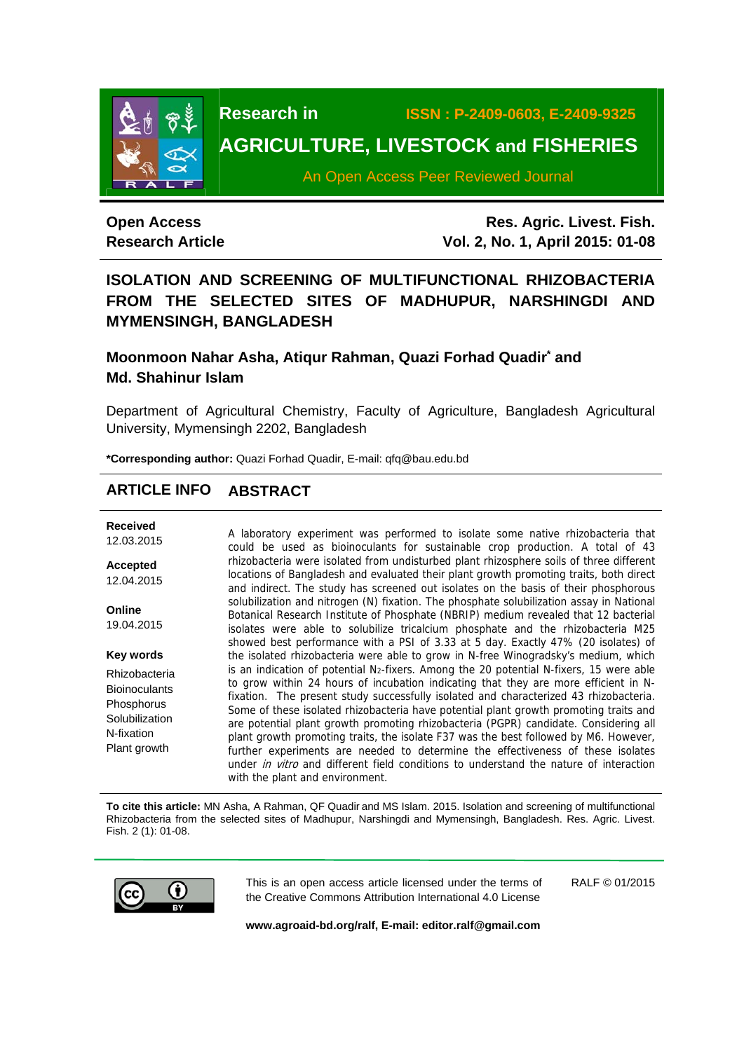

**Research in ISSN : P-2409-0603, E-2409-9325** 

# **AGRICULTURE, LIVESTOCK and FISHERIES**

An Open Access Peer Reviewed Journal

## **Open Access Research Article**

**Res. Agric. Livest. Fish. Vol. 2, No. 1, April 2015: 01-08**

## **ISOLATION AND SCREENING OF MULTIFUNCTIONAL RHIZOBACTERIA FROM THE SELECTED SITES OF MADHUPUR, NARSHINGDI AND MYMENSINGH, BANGLADESH**

## Moonmoon Nahar Asha, Atiqur Rahman, Quazi Forhad Quadir<sup>\*</sup> and **Md. Shahinur Islam**

Department of Agricultural Chemistry, Faculty of Agriculture, Bangladesh Agricultural University, Mymensingh 2202, Bangladesh

**\*Corresponding author:** Quazi Forhad Quadir, E-mail: qfq@bau.edu.bd

## **ARTICLE INFO ABSTRACT**

| <b>Received</b><br>12.03.2015                                                                       | A laboratory experiment was performed to isolate some native rhizobacteria that<br>could be used as bioinoculants for sustainable crop production. A total of 43                                                                                                                                                                                                                                                                                                                                                                                                                                                                                                                                                                                                                   |
|-----------------------------------------------------------------------------------------------------|------------------------------------------------------------------------------------------------------------------------------------------------------------------------------------------------------------------------------------------------------------------------------------------------------------------------------------------------------------------------------------------------------------------------------------------------------------------------------------------------------------------------------------------------------------------------------------------------------------------------------------------------------------------------------------------------------------------------------------------------------------------------------------|
| <b>Accepted</b><br>12.04.2015                                                                       | rhizobacteria were isolated from undisturbed plant rhizosphere soils of three different<br>locations of Bangladesh and evaluated their plant growth promoting traits, both direct<br>and indirect. The study has screened out isolates on the basis of their phosphorous                                                                                                                                                                                                                                                                                                                                                                                                                                                                                                           |
| Online<br>19.04.2015                                                                                | solubilization and nitrogen (N) fixation. The phosphate solubilization assay in National<br>Botanical Research Institute of Phosphate (NBRIP) medium revealed that 12 bacterial<br>isolates were able to solubilize tricalcium phosphate and the rhizobacteria M25<br>showed best performance with a PSI of 3.33 at 5 day. Exactly 47% (20 isolates) of                                                                                                                                                                                                                                                                                                                                                                                                                            |
| Key words                                                                                           | the isolated rhizobacteria were able to grow in N-free Winogradsky's medium, which                                                                                                                                                                                                                                                                                                                                                                                                                                                                                                                                                                                                                                                                                                 |
| Rhizobacteria<br><b>Bioinoculants</b><br>Phosphorus<br>Solubilization<br>N-fixation<br>Plant growth | is an indication of potential N <sub>2</sub> -fixers. Among the 20 potential N-fixers, 15 were able<br>to grow within 24 hours of incubation indicating that they are more efficient in N-<br>fixation. The present study successfully isolated and characterized 43 rhizobacteria.<br>Some of these isolated rhizobacteria have potential plant growth promoting traits and<br>are potential plant growth promoting rhizobacteria (PGPR) candidate. Considering all<br>plant growth promoting traits, the isolate F37 was the best followed by M6. However,<br>further experiments are needed to determine the effectiveness of these isolates<br>under <i>in vitro</i> and different field conditions to understand the nature of interaction<br>with the plant and environment. |

**To cite this article:** MN Asha, A Rahman, QF Quadir and MS Islam. 2015. Isolation and screening of multifunctional Rhizobacteria from the selected sites of Madhupur, Narshingdi and Mymensingh, Bangladesh. Res. Agric. Livest. Fish. 2 (1): 01-08.



This is an open access article licensed under the terms of the Creative Commons Attribution International 4.0 License

RALF © 01/2015

**www.agroaid-bd.org/ralf, E-mail: editor.ralf@gmail.com**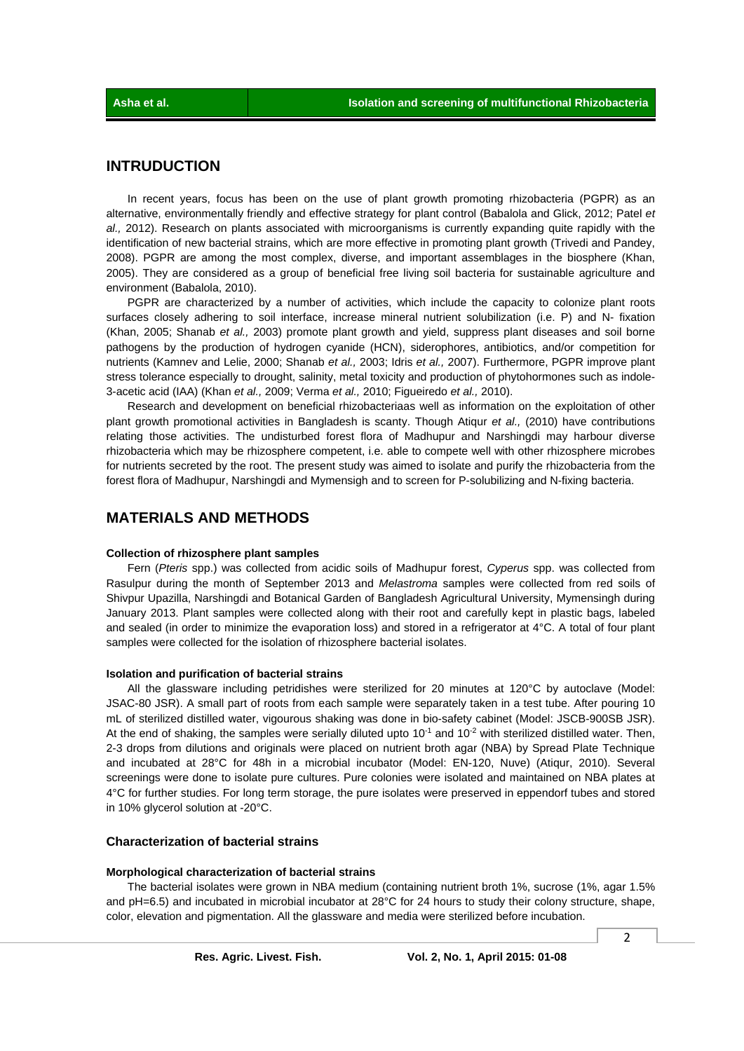### **INTRUDUCTION**

In recent years, focus has been on the use of plant growth promoting rhizobacteria (PGPR) as an alternative, environmentally friendly and effective strategy for plant control (Babalola and Glick, 2012; Patel *et al.,* 2012). Research on plants associated with microorganisms is currently expanding quite rapidly with the identification of new bacterial strains, which are more effective in promoting plant growth (Trivedi and Pandey, 2008). PGPR are among the most complex, diverse, and important assemblages in the biosphere (Khan, 2005). They are considered as a group of beneficial free living soil bacteria for sustainable agriculture and environment (Babalola, 2010).

PGPR are characterized by a number of activities, which include the capacity to colonize plant roots surfaces closely adhering to soil interface, increase mineral nutrient solubilization (i.e. P) and N- fixation (Khan, 2005; Shanab *et al.,* 2003) promote plant growth and yield, suppress plant diseases and soil borne pathogens by the production of hydrogen cyanide (HCN), siderophores, antibiotics, and/or competition for nutrients (Kamnev and Lelie, 2000; Shanab *et al.,* 2003; Idris *et al.,* 2007). Furthermore, PGPR improve plant stress tolerance especially to drought, salinity, metal toxicity and production of phytohormones such as indole-3-acetic acid (IAA) (Khan *et al.,* 2009; Verma *et al.,* 2010; Figueiredo *et al.,* 2010).

 Research and development on beneficial rhizobacteriaas well as information on the exploitation of other plant growth promotional activities in Bangladesh is scanty. Though Atiqur *et al.,* (2010) have contributions relating those activities. The undisturbed forest flora of Madhupur and Narshingdi may harbour diverse rhizobacteria which may be rhizosphere competent, i.e. able to compete well with other rhizosphere microbes for nutrients secreted by the root. The present study was aimed to isolate and purify the rhizobacteria from the forest flora of Madhupur, Narshingdi and Mymensigh and to screen for P-solubilizing and N-fixing bacteria.

### **MATERIALS AND METHODS**

#### **Collection of rhizosphere plant samples**

 Fern (*Pteris* spp.) was collected from acidic soils of Madhupur forest, *Cyperus* spp. was collected from Rasulpur during the month of September 2013 and *Melastroma* samples were collected from red soils of Shivpur Upazilla, Narshingdi and Botanical Garden of Bangladesh Agricultural University, Mymensingh during January 2013. Plant samples were collected along with their root and carefully kept in plastic bags, labeled and sealed (in order to minimize the evaporation loss) and stored in a refrigerator at 4°C. A total of four plant samples were collected for the isolation of rhizosphere bacterial isolates.

#### **Isolation and purification of bacterial strains**

 All the glassware including petridishes were sterilized for 20 minutes at 120°C by autoclave (Model: JSAC-80 JSR). A small part of roots from each sample were separately taken in a test tube. After pouring 10 mL of sterilized distilled water, vigourous shaking was done in bio-safety cabinet (Model: JSCB-900SB JSR). At the end of shaking, the samples were serially diluted upto  $10^{-1}$  and  $10^{-2}$  with sterilized distilled water. Then, 2-3 drops from dilutions and originals were placed on nutrient broth agar (NBA) by Spread Plate Technique and incubated at 28°C for 48h in a microbial incubator (Model: EN-120, Nuve) (Atiqur, 2010). Several screenings were done to isolate pure cultures. Pure colonies were isolated and maintained on NBA plates at 4°C for further studies. For long term storage, the pure isolates were preserved in eppendorf tubes and stored in 10% glycerol solution at -20°C.

### **Characterization of bacterial strains**

### **Morphological characterization of bacterial strains**

 The bacterial isolates were grown in NBA medium (containing nutrient broth 1%, sucrose (1%, agar 1.5% and pH=6.5) and incubated in microbial incubator at 28°C for 24 hours to study their colony structure, shape, color, elevation and pigmentation. All the glassware and media were sterilized before incubation.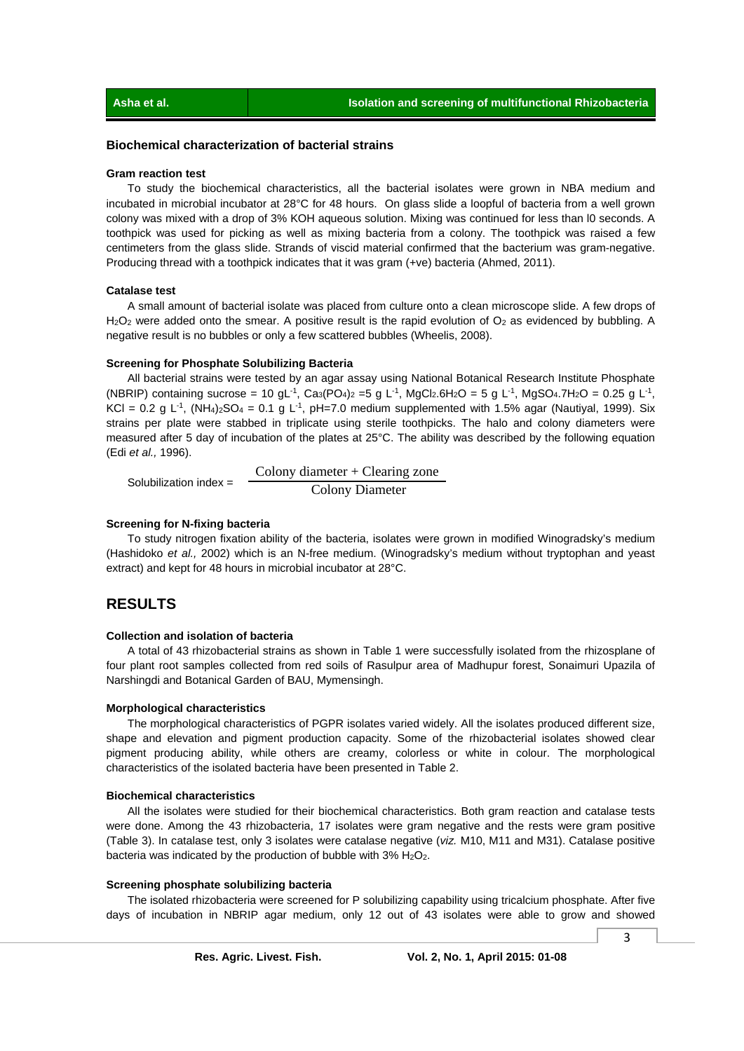### **Biochemical characterization of bacterial strains**

#### **Gram reaction test**

 To study the biochemical characteristics, all the bacterial isolates were grown in NBA medium and incubated in microbial incubator at 28°C for 48 hours. On glass slide a loopful of bacteria from a well grown colony was mixed with a drop of 3% KOH aqueous solution. Mixing was continued for less than l0 seconds. A toothpick was used for picking as well as mixing bacteria from a colony. The toothpick was raised a few centimeters from the glass slide. Strands of viscid material confirmed that the bacterium was gram-negative. Producing thread with a toothpick indicates that it was gram (+ve) bacteria (Ahmed, 2011).

### **Catalase test**

 A small amount of bacterial isolate was placed from culture onto a clean microscope slide. A few drops of  $H<sub>2</sub>O<sub>2</sub>$  were added onto the smear. A positive result is the rapid evolution of  $O<sub>2</sub>$  as evidenced by bubbling. A negative result is no bubbles or only a few scattered bubbles (Wheelis, 2008).

### **Screening for Phosphate Solubilizing Bacteria**

 All bacterial strains were tested by an agar assay using National Botanical Research Institute Phosphate (NBRIP) containing sucrose = 10 gL<sup>-1</sup>, Ca<sub>3</sub>(PO<sub>4</sub>)<sub>2</sub> = 5 g L<sup>-1</sup>, MgCl<sub>2</sub>.6H<sub>2</sub>O = 5 g L<sup>-1</sup>, MgSO<sub>4</sub>.7H<sub>2</sub>O = 0.25 g L<sup>-1</sup>, KCl = 0.2 g L<sup>-1</sup>, (NH<sub>4</sub>)<sub>2</sub>SO<sub>4</sub> = 0.1 g L<sup>-1</sup>, pH=7.0 medium supplemented with 1.5% agar (Nautiyal, 1999). Six strains per plate were stabbed in triplicate using sterile toothpicks. The halo and colony diameters were measured after 5 day of incubation of the plates at 25°C. The ability was described by the following equation (Edi *et al.,* 1996).

 Solubilization index = Colony diameter + Clearing zone Colony Diameter

### **Screening for N-fixing bacteria**

 To study nitrogen fixation ability of the bacteria, isolates were grown in modified Winogradsky's medium (Hashidoko *et al.,* 2002) which is an N-free medium. (Winogradsky's medium without tryptophan and yeast extract) and kept for 48 hours in microbial incubator at 28°C.

### **RESULTS**

### **Collection and isolation of bacteria**

 A total of 43 rhizobacterial strains as shown in Table 1 were successfully isolated from the rhizosplane of four plant root samples collected from red soils of Rasulpur area of Madhupur forest, Sonaimuri Upazila of Narshingdi and Botanical Garden of BAU, Mymensingh.

### **Morphological characteristics**

 The morphological characteristics of PGPR isolates varied widely. All the isolates produced different size, shape and elevation and pigment production capacity. Some of the rhizobacterial isolates showed clear pigment producing ability, while others are creamy, colorless or white in colour. The morphological characteristics of the isolated bacteria have been presented in Table 2.

### **Biochemical characteristics**

 All the isolates were studied for their biochemical characteristics. Both gram reaction and catalase tests were done. Among the 43 rhizobacteria, 17 isolates were gram negative and the rests were gram positive (Table 3). In catalase test, only 3 isolates were catalase negative (*viz.* M10, M11 and M31). Catalase positive bacteria was indicated by the production of bubble with  $3\%$  H<sub>2</sub>O<sub>2</sub>.

#### **Screening phosphate solubilizing bacteria**

 The isolated rhizobacteria were screened for P solubilizing capability using tricalcium phosphate. After five days of incubation in NBRIP agar medium, only 12 out of 43 isolates were able to grow and showed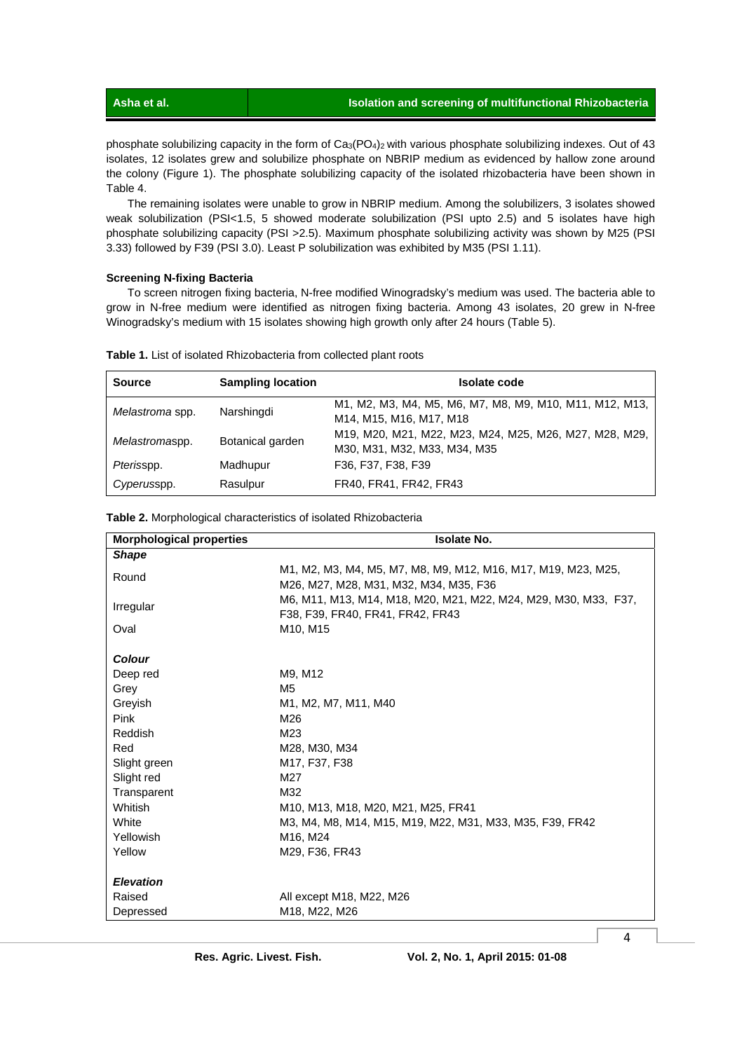phosphate solubilizing capacity in the form of Ca<sub>3</sub>(PO<sub>4</sub>)<sub>2</sub> with various phosphate solubilizing indexes. Out of 43 isolates, 12 isolates grew and solubilize phosphate on NBRIP medium as evidenced by hallow zone around the colony (Figure 1). The phosphate solubilizing capacity of the isolated rhizobacteria have been shown in Table 4.

 The remaining isolates were unable to grow in NBRIP medium. Among the solubilizers, 3 isolates showed weak solubilization (PSI<1.5, 5 showed moderate solubilization (PSI upto 2.5) and 5 isolates have high phosphate solubilizing capacity (PSI >2.5). Maximum phosphate solubilizing activity was shown by M25 (PSI 3.33) followed by F39 (PSI 3.0). Least P solubilization was exhibited by M35 (PSI 1.11).

### **Screening N-fixing Bacteria**

 To screen nitrogen fixing bacteria, N-free modified Winogradsky's medium was used. The bacteria able to grow in N-free medium were identified as nitrogen fixing bacteria. Among 43 isolates, 20 grew in N-free Winogradsky's medium with 15 isolates showing high growth only after 24 hours (Table 5).

| <b>Source</b>   | <b>Sampling location</b> | <b>Isolate code</b>                                                                    |
|-----------------|--------------------------|----------------------------------------------------------------------------------------|
| Melastroma spp. | Narshingdi               | M1, M2, M3, M4, M5, M6, M7, M8, M9, M10, M11, M12, M13,<br>M14, M15, M16, M17, M18     |
| Melastromaspp.  | Botanical garden         | M19, M20, M21, M22, M23, M24, M25, M26, M27, M28, M29,<br>M30, M31, M32, M33, M34, M35 |
| Pterisspp.      | Madhupur                 | F36, F37, F38, F39                                                                     |
| Cyperusspp.     | Rasulpur                 | FR40, FR41, FR42, FR43                                                                 |

**Table 1.** List of isolated Rhizobacteria from collected plant roots

| <b>Morphological properties</b> | <b>Isolate No.</b>                                                                                      |
|---------------------------------|---------------------------------------------------------------------------------------------------------|
| <b>Shape</b>                    |                                                                                                         |
| Round                           | M1, M2, M3, M4, M5, M7, M8, M9, M12, M16, M17, M19, M23, M25,<br>M26, M27, M28, M31, M32, M34, M35, F36 |
| Irregular                       | M6, M11, M13, M14, M18, M20, M21, M22, M24, M29, M30, M33, F37,<br>F38, F39, FR40, FR41, FR42, FR43     |
| Oval                            | M <sub>10</sub> , M <sub>15</sub>                                                                       |
| <b>Colour</b>                   |                                                                                                         |
| Deep red                        | M9, M12                                                                                                 |
| Grey                            | M <sub>5</sub>                                                                                          |
| Greyish                         | M1, M2, M7, M11, M40                                                                                    |
| Pink                            | M26                                                                                                     |
| <b>Reddish</b>                  | M23                                                                                                     |
| Red                             | M28, M30, M34                                                                                           |
| Slight green                    | M <sub>17</sub> , F <sub>37</sub> , F <sub>38</sub>                                                     |
| Slight red                      | M27                                                                                                     |
| Transparent                     | M32                                                                                                     |
| Whitish                         | M10, M13, M18, M20, M21, M25, FR41                                                                      |
| White                           | M3, M4, M8, M14, M15, M19, M22, M31, M33, M35, F39, FR42                                                |
| Yellowish                       | M16, M24                                                                                                |
| Yellow                          | M29, F36, FR43                                                                                          |
| <b>Elevation</b>                |                                                                                                         |
| Raised                          | All except M18, M22, M26                                                                                |
| Depressed                       | M18, M22, M26                                                                                           |

**Table 2.** Morphological characteristics of isolated Rhizobacteria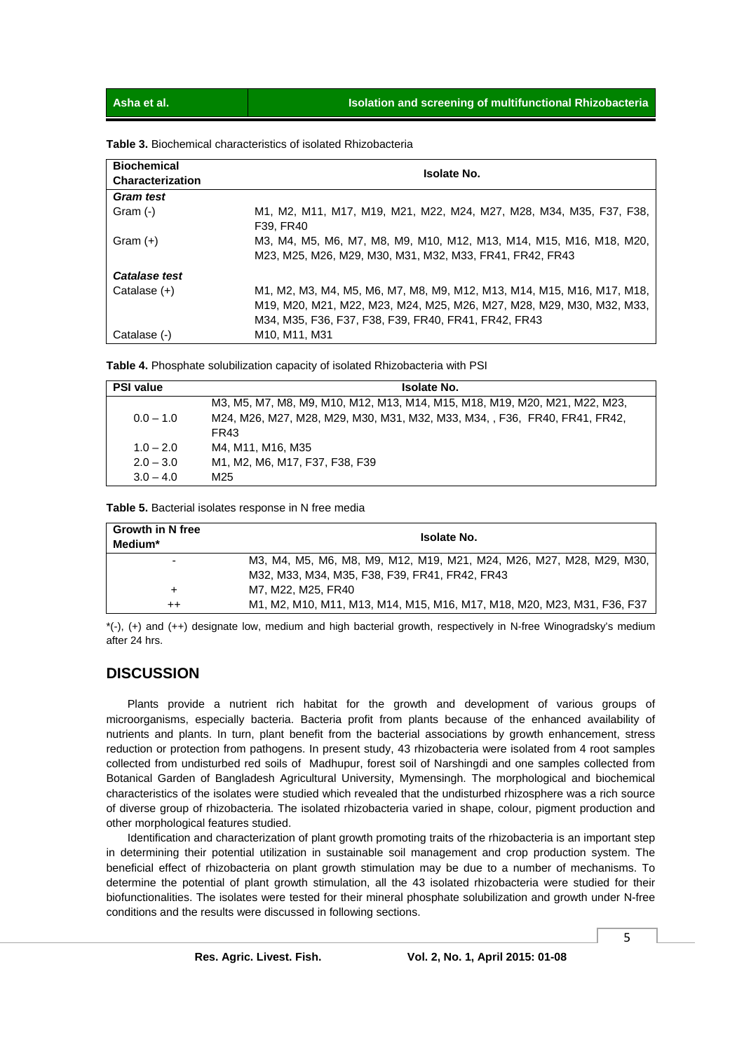|  |  | <b>Table 3.</b> Biochemical characteristics of isolated Rhizobacteria |
|--|--|-----------------------------------------------------------------------|
|--|--|-----------------------------------------------------------------------|

| <b>Biochemical</b> | <b>Isolate No.</b>                                                                                                                                                                                      |  |  |
|--------------------|---------------------------------------------------------------------------------------------------------------------------------------------------------------------------------------------------------|--|--|
| Characterization   |                                                                                                                                                                                                         |  |  |
| <b>Gram test</b>   |                                                                                                                                                                                                         |  |  |
| Gram (-)           | M1, M2, M11, M17, M19, M21, M22, M24, M27, M28, M34, M35, F37, F38,<br>F39. FR40                                                                                                                        |  |  |
| Gram $(+)$         | M3, M4, M5, M6, M7, M8, M9, M10, M12, M13, M14, M15, M16, M18, M20,<br>M23, M25, M26, M29, M30, M31, M32, M33, FR41, FR42, FR43                                                                         |  |  |
| Catalase test      |                                                                                                                                                                                                         |  |  |
| Catalase $(+)$     | M1, M2, M3, M4, M5, M6, M7, M8, M9, M12, M13, M14, M15, M16, M17, M18,<br>M19, M20, M21, M22, M23, M24, M25, M26, M27, M28, M29, M30, M32, M33,<br>M34, M35, F36, F37, F38, F39, FR40, FR41, FR42, FR43 |  |  |
| Catalase (-)       | M <sub>10</sub> . M <sub>11</sub> . M <sub>31</sub>                                                                                                                                                     |  |  |

**Table 4.** Phosphate solubilization capacity of isolated Rhizobacteria with PSI

| <b>PSI value</b> | <b>Isolate No.</b>                                                         |  |  |
|------------------|----------------------------------------------------------------------------|--|--|
|                  | M3, M5, M7, M8, M9, M10, M12, M13, M14, M15, M18, M19, M20, M21, M22, M23, |  |  |
| $0.0 - 1.0$      | M24, M26, M27, M28, M29, M30, M31, M32, M33, M34, , F36, FR40, FR41, FR42, |  |  |
|                  | FR43                                                                       |  |  |
| $1.0 - 2.0$      | M4. M11. M16. M35                                                          |  |  |
| $2.0 - 3.0$      | M1, M2, M6, M17, F37, F38, F39                                             |  |  |
| $3.0 - 4.0$      | M25                                                                        |  |  |

**Table 5.** Bacterial isolates response in N free media

| <b>Growth in N free</b><br>Medium* | <b>Isolate No.</b>                                                      |  |  |
|------------------------------------|-------------------------------------------------------------------------|--|--|
| $\overline{\phantom{a}}$           | M3, M4, M5, M6, M8, M9, M12, M19, M21, M24, M26, M27, M28, M29, M30,    |  |  |
|                                    | M32, M33, M34, M35, F38, F39, FR41, FR42, FR43                          |  |  |
|                                    | M7. M22. M25. FR40                                                      |  |  |
| ++                                 | M1, M2, M10, M11, M13, M14, M15, M16, M17, M18, M20, M23, M31, F36, F37 |  |  |

\*(-), (+) and (++) designate low, medium and high bacterial growth, respectively in N-free Winogradsky's medium after 24 hrs.

### **DISCUSSION**

 Plants provide a nutrient rich habitat for the growth and development of various groups of microorganisms, especially bacteria. Bacteria profit from plants because of the enhanced availability of nutrients and plants. In turn, plant benefit from the bacterial associations by growth enhancement, stress reduction or protection from pathogens. In present study, 43 rhizobacteria were isolated from 4 root samples collected from undisturbed red soils of Madhupur, forest soil of Narshingdi and one samples collected from Botanical Garden of Bangladesh Agricultural University, Mymensingh. The morphological and biochemical characteristics of the isolates were studied which revealed that the undisturbed rhizosphere was a rich source of diverse group of rhizobacteria. The isolated rhizobacteria varied in shape, colour, pigment production and other morphological features studied.

 Identification and characterization of plant growth promoting traits of the rhizobacteria is an important step in determining their potential utilization in sustainable soil management and crop production system. The beneficial effect of rhizobacteria on plant growth stimulation may be due to a number of mechanisms. To determine the potential of plant growth stimulation, all the 43 isolated rhizobacteria were studied for their biofunctionalities. The isolates were tested for their mineral phosphate solubilization and growth under N-free conditions and the results were discussed in following sections.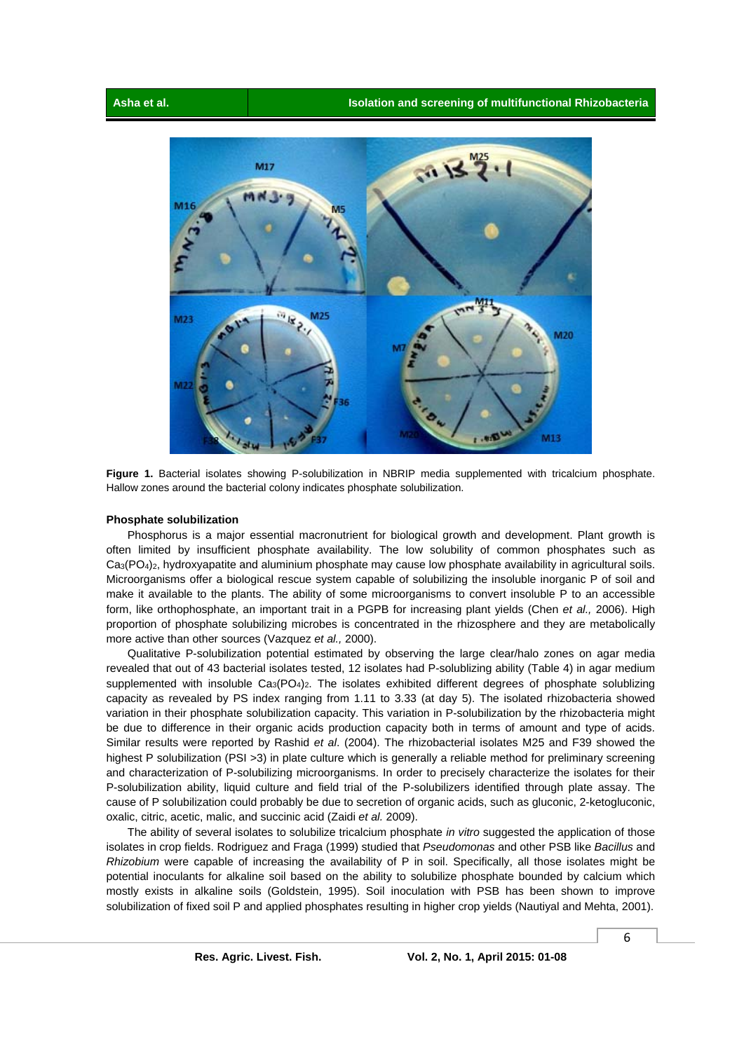

**Figure 1.** Bacterial isolates showing P-solubilization in NBRIP media supplemented with tricalcium phosphate. Hallow zones around the bacterial colony indicates phosphate solubilization.

#### **Phosphate solubilization**

 Phosphorus is a major essential macronutrient for biological growth and development. Plant growth is often limited by insufficient phosphate availability. The low solubility of common phosphates such as Ca3(PO4)2, hydroxyapatite and aluminium phosphate may cause low phosphate availability in agricultural soils. Microorganisms offer a biological rescue system capable of solubilizing the insoluble inorganic P of soil and make it available to the plants. The ability of some microorganisms to convert insoluble P to an accessible form, like orthophosphate, an important trait in a PGPB for increasing plant yields (Chen *et al.,* 2006). High proportion of phosphate solubilizing microbes is concentrated in the rhizosphere and they are metabolically more active than other sources (Vazquez *et al.,* 2000).

 Qualitative P-solubilization potential estimated by observing the large clear/halo zones on agar media revealed that out of 43 bacterial isolates tested, 12 isolates had P-solublizing ability (Table 4) in agar medium supplemented with insoluble  $Ca_3(PO_4)_2$ . The isolates exhibited different degrees of phosphate solublizing capacity as revealed by PS index ranging from 1.11 to 3.33 (at day 5). The isolated rhizobacteria showed variation in their phosphate solubilization capacity. This variation in P-solubilization by the rhizobacteria might be due to difference in their organic acids production capacity both in terms of amount and type of acids. Similar results were reported by Rashid *et al*. (2004). The rhizobacterial isolates M25 and F39 showed the highest P solubilization (PSI >3) in plate culture which is generally a reliable method for preliminary screening and characterization of P-solubilizing microorganisms. In order to precisely characterize the isolates for their P-solubilization ability, liquid culture and field trial of the P-solubilizers identified through plate assay. The cause of P solubilization could probably be due to secretion of organic acids, such as gluconic, 2-ketogluconic, oxalic, citric, acetic, malic, and succinic acid (Zaidi *et al.* 2009).

 The ability of several isolates to solubilize tricalcium phosphate *in vitro* suggested the application of those isolates in crop fields. Rodriguez and Fraga (1999) studied that *Pseudomonas* and other PSB like *Bacillus* and *Rhizobium* were capable of increasing the availability of P in soil. Specifically, all those isolates might be potential inoculants for alkaline soil based on the ability to solubilize phosphate bounded by calcium which mostly exists in alkaline soils (Goldstein, 1995). Soil inoculation with PSB has been shown to improve solubilization of fixed soil P and applied phosphates resulting in higher crop yields (Nautiyal and Mehta, 2001).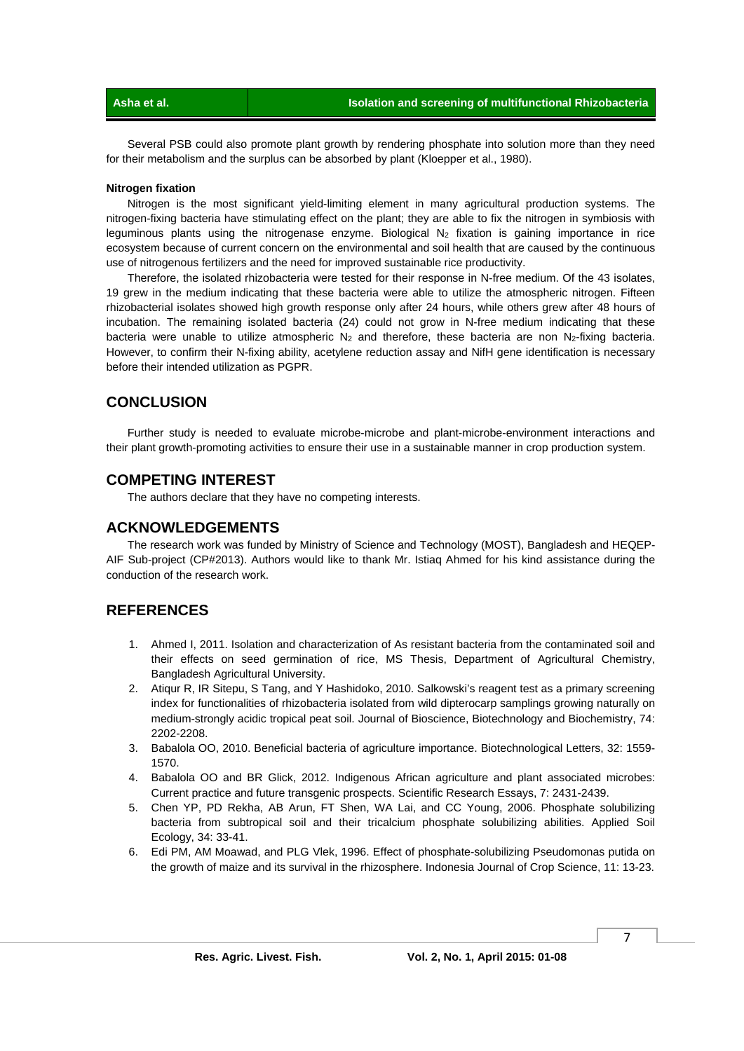Several PSB could also promote plant growth by rendering phosphate into solution more than they need for their metabolism and the surplus can be absorbed by plant (Kloepper et al., 1980).

### **Nitrogen fixation**

 Nitrogen is the most significant yield-limiting element in many agricultural production systems. The nitrogen-fixing bacteria have stimulating effect on the plant; they are able to fix the nitrogen in symbiosis with leguminous plants using the nitrogenase enzyme. Biological  $N_2$  fixation is gaining importance in rice ecosystem because of current concern on the environmental and soil health that are caused by the continuous use of nitrogenous fertilizers and the need for improved sustainable rice productivity.

 Therefore, the isolated rhizobacteria were tested for their response in N-free medium. Of the 43 isolates, 19 grew in the medium indicating that these bacteria were able to utilize the atmospheric nitrogen. Fifteen rhizobacterial isolates showed high growth response only after 24 hours, while others grew after 48 hours of incubation. The remaining isolated bacteria (24) could not grow in N-free medium indicating that these bacteria were unable to utilize atmospheric  $N_2$  and therefore, these bacteria are non  $N_2$ -fixing bacteria. However, to confirm their N-fixing ability, acetylene reduction assay and NifH gene identification is necessary before their intended utilization as PGPR.

### **CONCLUSION**

 Further study is needed to evaluate microbe-microbe and plant-microbe-environment interactions and their plant growth-promoting activities to ensure their use in a sustainable manner in crop production system.

### **COMPETING INTEREST**

The authors declare that they have no competing interests.

### **ACKNOWLEDGEMENTS**

 The research work was funded by Ministry of Science and Technology (MOST), Bangladesh and HEQEP-AIF Sub-project (CP#2013). Authors would like to thank Mr. Istiaq Ahmed for his kind assistance during the conduction of the research work.

### **REFERENCES**

- 1. Ahmed I, 2011. Isolation and characterization of As resistant bacteria from the contaminated soil and their effects on seed germination of rice, MS Thesis, Department of Agricultural Chemistry, Bangladesh Agricultural University.
- 2. Atiqur R, IR Sitepu, S Tang, and Y Hashidoko, 2010. Salkowski's reagent test as a primary screening index for functionalities of rhizobacteria isolated from wild dipterocarp samplings growing naturally on medium-strongly acidic tropical peat soil. Journal of Bioscience, Biotechnology and Biochemistry, 74: 2202-2208.
- 3. Babalola OO, 2010. Beneficial bacteria of agriculture importance. Biotechnological Letters, 32: 1559- 1570.
- 4. Babalola OO and BR Glick, 2012. Indigenous African agriculture and plant associated microbes: Current practice and future transgenic prospects. Scientific Research Essays, 7: 2431-2439.
- 5. Chen YP, PD Rekha, AB Arun, FT Shen, WA Lai, and CC Young, 2006. Phosphate solubilizing bacteria from subtropical soil and their tricalcium phosphate solubilizing abilities. Applied Soil Ecology, 34: 33-41.
- 6. Edi PM, AM Moawad, and PLG Vlek, 1996. Effect of phosphate-solubilizing Pseudomonas putida on the growth of maize and its survival in the rhizosphere. Indonesia Journal of Crop Science, 11: 13-23.